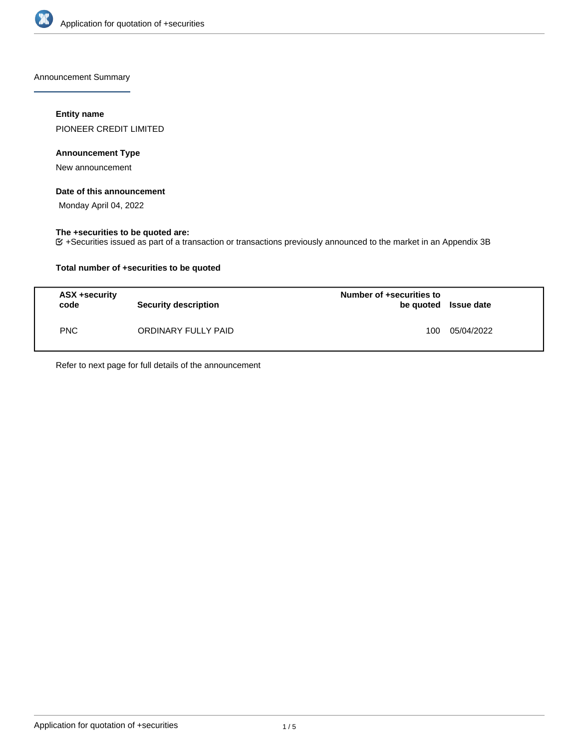

Announcement Summary

# **Entity name**

PIONEER CREDIT LIMITED

# **Announcement Type**

New announcement

## **Date of this announcement**

Monday April 04, 2022

# **The +securities to be quoted are:**

+Securities issued as part of a transaction or transactions previously announced to the market in an Appendix 3B

# **Total number of +securities to be quoted**

| ASX +security<br>code | <b>Security description</b> | Number of +securities to<br>be quoted Issue date |            |
|-----------------------|-----------------------------|--------------------------------------------------|------------|
| <b>PNC</b>            | ORDINARY FULLY PAID         | 100                                              | 05/04/2022 |

Refer to next page for full details of the announcement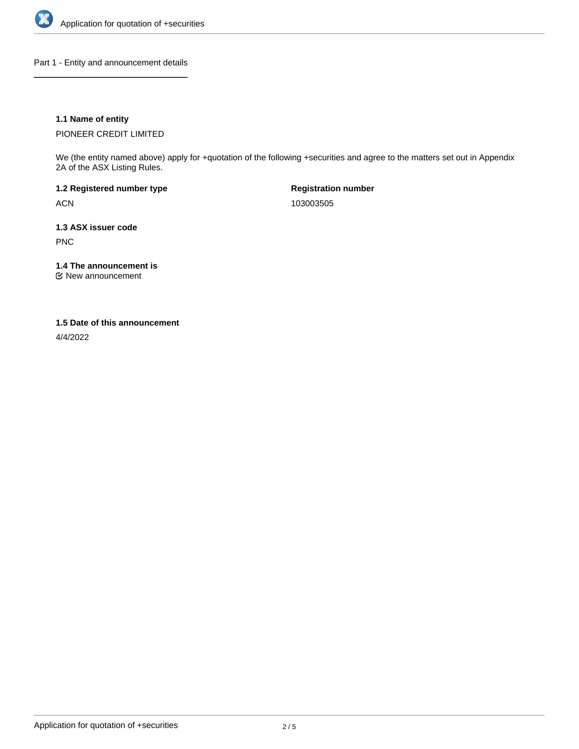

Part 1 - Entity and announcement details

# **1.1 Name of entity**

PIONEER CREDIT LIMITED

We (the entity named above) apply for +quotation of the following +securities and agree to the matters set out in Appendix 2A of the ASX Listing Rules.

**1.2 Registered number type** ACN

**Registration number** 103003505

**1.3 ASX issuer code** PNC

**1.4 The announcement is**

New announcement

### **1.5 Date of this announcement**

4/4/2022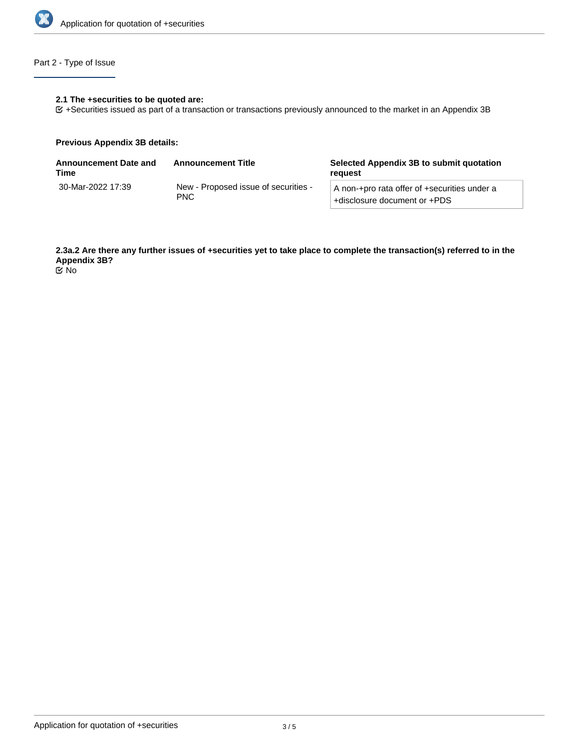

# Part 2 - Type of Issue

#### **2.1 The +securities to be quoted are:**

+Securities issued as part of a transaction or transactions previously announced to the market in an Appendix 3B

#### **Previous Appendix 3B details:**

| Announcement Date and<br>Time | <b>Announcement Title</b>                          | Selected Appendix 3B to submit quotation<br>reauest                          |  |
|-------------------------------|----------------------------------------------------|------------------------------------------------------------------------------|--|
| 30-Mar-2022 17:39             | New - Proposed issue of securities -<br><b>PNC</b> | A non-+pro rata offer of +securities under a<br>+disclosure document or +PDS |  |

**2.3a.2 Are there any further issues of +securities yet to take place to complete the transaction(s) referred to in the Appendix 3B?**

No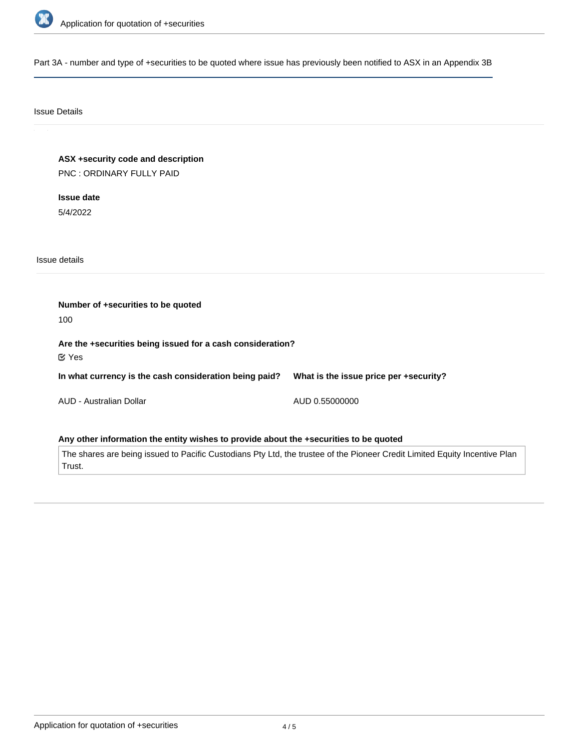

Part 3A - number and type of +securities to be quoted where issue has previously been notified to ASX in an Appendix 3B

### Issue Details

**ASX +security code and description** PNC : ORDINARY FULLY PAID

**Issue date** 5/4/2022

Issue details

**Number of +securities to be quoted** 100 **Are the +securities being issued for a cash consideration? In what currency is the cash consideration being paid?** AUD - Australian Dollar **What is the issue price per +security?** AUD 0.55000000 Yes

**Any other information the entity wishes to provide about the +securities to be quoted**

The shares are being issued to Pacific Custodians Pty Ltd, the trustee of the Pioneer Credit Limited Equity Incentive Plan Trust.